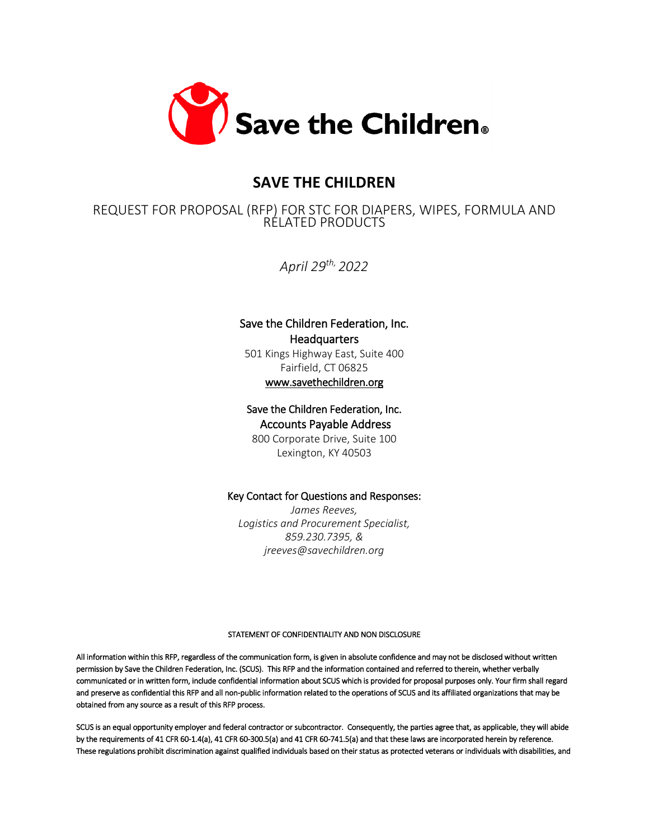

# **SAVE THE CHILDREN**

# REQUEST FOR PROPOSAL (RFP) FOR STC FOR DIAPERS, WIPES, FORMULA AND RELATED PRODUCTS

*April 29th, 2022*

# Save the Children Federation, Inc. **Headquarters**

501 Kings Highway East, Suite 400 Fairfield, CT 06825 [www.savethechildren.org](http://www.savethechildren.org/) 

# Save the Children Federation, Inc. Accounts Payable Address

800 Corporate Drive, Suite 100 Lexington, KY 40503

# Key Contact for Questions and Responses:

*James Reeves, Logistics and Procurement Specialist, 859.230.7395, & jreeves@savechildren.org*

#### STATEMENT OF CONFIDENTIALITY AND NON DISCLOSURE

All information within this RFP, regardless of the communication form, is given in absolute confidence and may not be disclosed without written permission by Save the Children Federation, Inc. (SCUS). This RFP and the information contained and referred to therein, whether verbally communicated or in written form, include confidential information about SCUS which is provided for proposal purposes only. Your firm shall regard and preserve as confidential this RFP and all non-public information related to the operations of SCUS and its affiliated organizations that may be obtained from any source as a result of this RFP process.

SCUS is an equal opportunity employer and federal contractor or subcontractor. Consequently, the parties agree that, as applicable, they will abide by the requirements of 41 CFR 60-1.4(a), 41 CFR 60-300.5(a) and 41 CFR 60-741.5(a) and that these laws are incorporated herein by reference. These regulations prohibit discrimination against qualified individuals based on their status as protected veterans or individuals with disabilities, and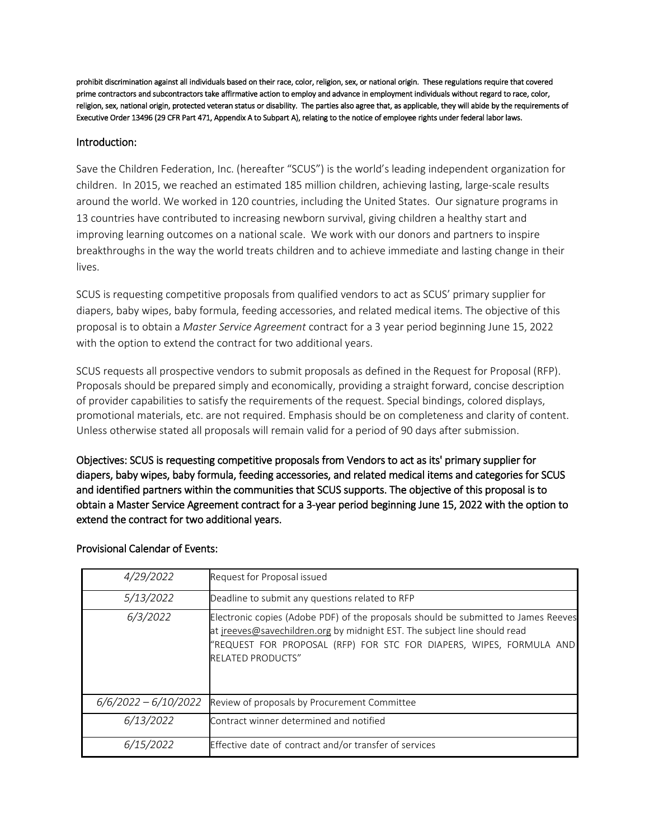prohibit discrimination against all individuals based on their race, color, religion, sex, or national origin. These regulations require that covered prime contractors and subcontractors take affirmative action to employ and advance in employment individuals without regard to race, color, religion, sex, national origin, protected veteran status or disability. The parties also agree that, as applicable, they will abide by the requirements of Executive Order 13496 (29 CFR Part 471, Appendix A to Subpart A), relating to the notice of employee rights under federal labor laws.

#### Introduction:

Save the Children Federation, Inc. (hereafter "SCUS") is the world's leading independent organization for children. In 2015, we reached an estimated 185 million children, achieving lasting, large-scale results around the world. We worked in 120 countries, including the United States. Our signature programs in 13 countries have contributed to increasing newborn survival, giving children a healthy start and improving learning outcomes on a national scale. We work with our donors and partners to inspire breakthroughs in the way the world treats children and to achieve immediate and lasting change in their lives.

SCUS is requesting competitive proposals from qualified vendors to act as SCUS' primary supplier for diapers, baby wipes, baby formula, feeding accessories, and related medical items. The objective of this proposal is to obtain a *Master Service Agreement* contract for a 3 year period beginning June 15, 2022 with the option to extend the contract for two additional years.

SCUS requests all prospective vendors to submit proposals as defined in the Request for Proposal (RFP). Proposals should be prepared simply and economically, providing a straight forward, concise description of provider capabilities to satisfy the requirements of the request. Special bindings, colored displays, promotional materials, etc. are not required. Emphasis should be on completeness and clarity of content. Unless otherwise stated all proposals will remain valid for a period of 90 days after submission.

Objectives: SCUS is requesting competitive proposals from Vendors to act as its' primary supplier for diapers, baby wipes, baby formula, feeding accessories, and related medical items and categories for SCUS and identified partners within the communities that SCUS supports. The objective of this proposal is to obtain a Master Service Agreement contract for a 3-year period beginning June 15, 2022 with the option to extend the contract for two additional years.

| 4/29/2022              | Request for Proposal issued                                                                                                                                                                                                                                        |
|------------------------|--------------------------------------------------------------------------------------------------------------------------------------------------------------------------------------------------------------------------------------------------------------------|
| 5/13/2022              | Deadline to submit any questions related to RFP                                                                                                                                                                                                                    |
| 6/3/2022               | Electronic copies (Adobe PDF) of the proposals should be submitted to James Reeves<br>at jreeves@savechildren.org by midnight EST. The subject line should read<br>"REQUEST FOR PROPOSAL (RFP) FOR STC FOR DIAPERS, WIPES, FORMULA AND<br><b>RELATED PRODUCTS"</b> |
| $6/6/2022 - 6/10/2022$ | Review of proposals by Procurement Committee                                                                                                                                                                                                                       |
| 6/13/2022              | Contract winner determined and notified                                                                                                                                                                                                                            |
| 6/15/2022              | Effective date of contract and/or transfer of services                                                                                                                                                                                                             |

# Provisional Calendar of Events: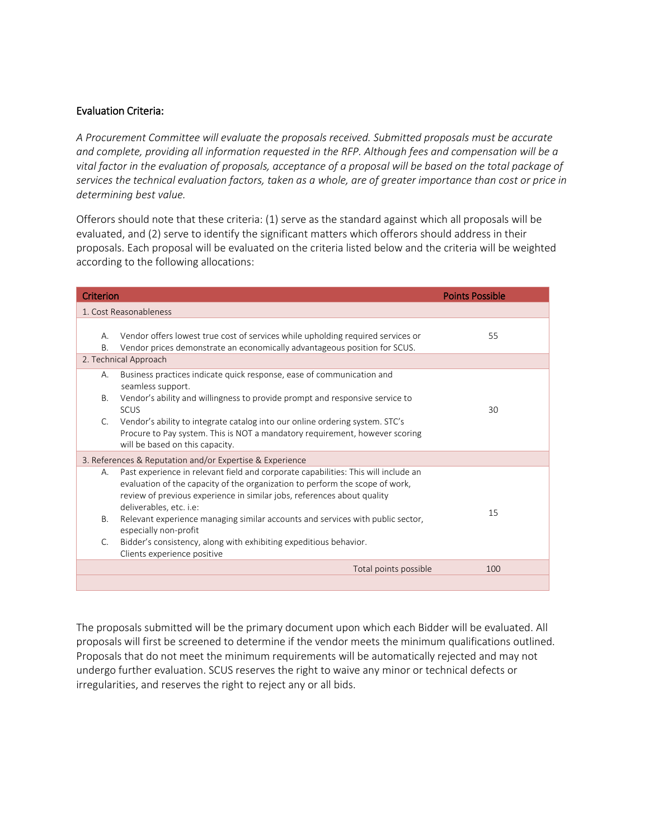#### Evaluation Criteria:

*A Procurement Committee will evaluate the proposals received. Submitted proposals must be accurate and complete, providing all information requested in the RFP. Although fees and compensation will be a vital factor in the evaluation of proposals, acceptance of a proposal will be based on the total package of services the technical evaluation factors, taken as a whole, are of greater importance than cost or price in determining best value.*

Offerors should note that these criteria: (1) serve as the standard against which all proposals will be evaluated, and (2) serve to identify the significant matters which offerors should address in their proposals. Each proposal will be evaluated on the criteria listed below and the criteria will be weighted according to the following allocations:

| Criterion             |                                                                                                                                                                                                                                                                                                                                                                                                                                                                                         | <b>Points Possible</b> |  |  |
|-----------------------|-----------------------------------------------------------------------------------------------------------------------------------------------------------------------------------------------------------------------------------------------------------------------------------------------------------------------------------------------------------------------------------------------------------------------------------------------------------------------------------------|------------------------|--|--|
|                       | 1. Cost Reasonableness                                                                                                                                                                                                                                                                                                                                                                                                                                                                  |                        |  |  |
| Α.<br>Β.              | Vendor offers lowest true cost of services while upholding required services or<br>Vendor prices demonstrate an economically advantageous position for SCUS.                                                                                                                                                                                                                                                                                                                            | 55                     |  |  |
|                       | 2. Technical Approach                                                                                                                                                                                                                                                                                                                                                                                                                                                                   |                        |  |  |
| А.<br><b>B.</b>       | Business practices indicate quick response, ease of communication and<br>seamless support.<br>Vendor's ability and willingness to provide prompt and responsive service to<br><b>SCUS</b>                                                                                                                                                                                                                                                                                               | 30                     |  |  |
| C.                    | Vendor's ability to integrate catalog into our online ordering system. STC's<br>Procure to Pay system. This is NOT a mandatory requirement, however scoring<br>will be based on this capacity.                                                                                                                                                                                                                                                                                          |                        |  |  |
|                       | 3. References & Reputation and/or Expertise & Experience                                                                                                                                                                                                                                                                                                                                                                                                                                |                        |  |  |
| А.<br><b>B.</b><br>C. | Past experience in relevant field and corporate capabilities: This will include an<br>evaluation of the capacity of the organization to perform the scope of work,<br>review of previous experience in similar jobs, references about quality<br>deliverables, etc. i.e:<br>Relevant experience managing similar accounts and services with public sector,<br>especially non-profit<br>Bidder's consistency, along with exhibiting expeditious behavior.<br>Clients experience positive | 15                     |  |  |
|                       | Total points possible                                                                                                                                                                                                                                                                                                                                                                                                                                                                   | 100                    |  |  |
|                       |                                                                                                                                                                                                                                                                                                                                                                                                                                                                                         |                        |  |  |

The proposals submitted will be the primary document upon which each Bidder will be evaluated. All proposals will first be screened to determine if the vendor meets the minimum qualifications outlined. Proposals that do not meet the minimum requirements will be automatically rejected and may not undergo further evaluation. SCUS reserves the right to waive any minor or technical defects or irregularities, and reserves the right to reject any or all bids.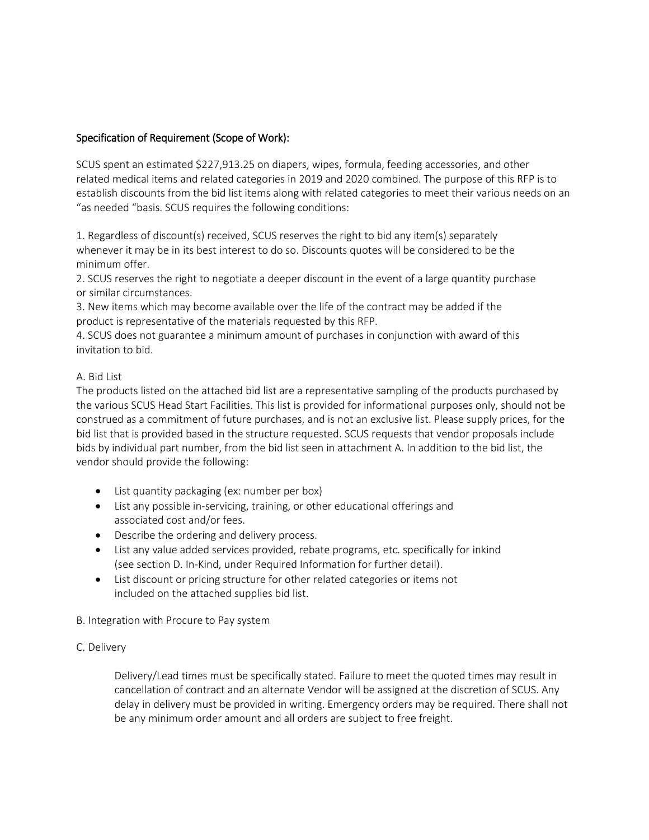# Specification of Requirement (Scope of Work):

SCUS spent an estimated \$227,913.25 on diapers, wipes, formula, feeding accessories, and other related medical items and related categories in 2019 and 2020 combined. The purpose of this RFP is to establish discounts from the bid list items along with related categories to meet their various needs on an "as needed "basis. SCUS requires the following conditions:

1. Regardless of discount(s) received, SCUS reserves the right to bid any item(s) separately whenever it may be in its best interest to do so. Discounts quotes will be considered to be the minimum offer.

2. SCUS reserves the right to negotiate a deeper discount in the event of a large quantity purchase or similar circumstances.

3. New items which may become available over the life of the contract may be added if the product is representative of the materials requested by this RFP.

4. SCUS does not guarantee a minimum amount of purchases in conjunction with award of this invitation to bid.

#### A. Bid List

The products listed on the attached bid list are a representative sampling of the products purchased by the various SCUS Head Start Facilities. This list is provided for informational purposes only, should not be construed as a commitment of future purchases, and is not an exclusive list. Please supply prices, for the bid list that is provided based in the structure requested. SCUS requests that vendor proposals include bids by individual part number, from the bid list seen in attachment A. In addition to the bid list, the vendor should provide the following:

- List quantity packaging (ex: number per box)
- List any possible in-servicing, training, or other educational offerings and associated cost and/or fees.
- Describe the ordering and delivery process.
- List any value added services provided, rebate programs, etc. specifically for inkind (see section D. In-Kind, under Required Information for further detail).
- List discount or pricing structure for other related categories or items not included on the attached supplies bid list.

#### B. Integration with Procure to Pay system

#### C. Delivery

Delivery/Lead times must be specifically stated. Failure to meet the quoted times may result in cancellation of contract and an alternate Vendor will be assigned at the discretion of SCUS. Any delay in delivery must be provided in writing. Emergency orders may be required. There shall not be any minimum order amount and all orders are subject to free freight.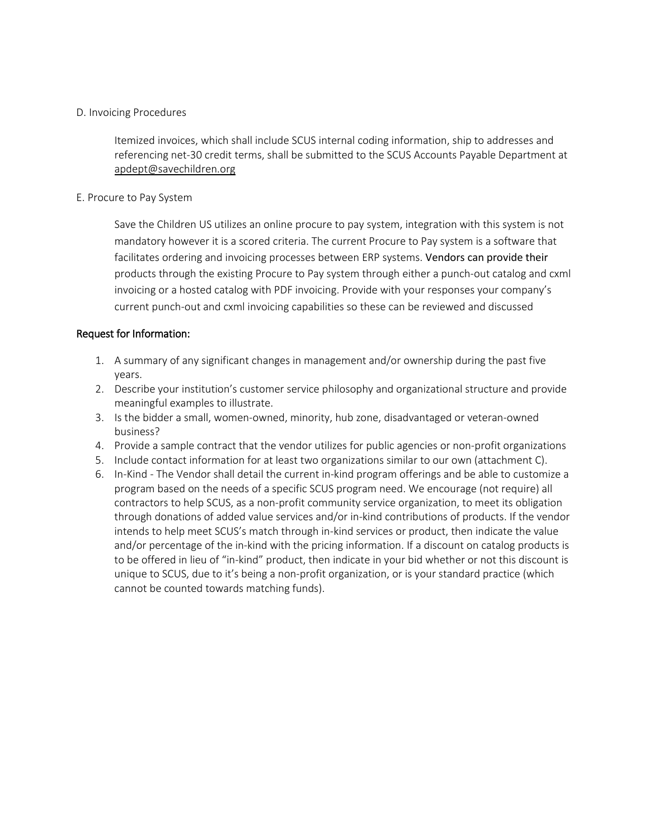#### D. Invoicing Procedures

Itemized invoices, which shall include SCUS internal coding information, ship to addresses and referencing net-30 credit terms, shall be submitted to the SCUS Accounts Payable Department at [apdept@savechildren.org](mailto:apdept@savechildren.org)

#### E. Procure to Pay System

Save the Children US utilizes an online procure to pay system, integration with this system is not mandatory however it is a scored criteria. The current Procure to Pay system is a software that facilitates ordering and invoicing processes between ERP systems. Vendors can provide their products through the existing Procure to Pay system through either a punch-out catalog and cxml invoicing or a hosted catalog with PDF invoicing. Provide with your responses your company's current punch-out and cxml invoicing capabilities so these can be reviewed and discussed

#### Request for Information:

- 1. A summary of any significant changes in management and/or ownership during the past five years.
- 2. Describe your institution's customer service philosophy and organizational structure and provide meaningful examples to illustrate.
- 3. Is the bidder a small, women-owned, minority, hub zone, disadvantaged or veteran-owned business?
- 4. Provide a sample contract that the vendor utilizes for public agencies or non-profit organizations
- 5. Include contact information for at least two organizations similar to our own (attachment C).
- 6. In-Kind The Vendor shall detail the current in-kind program offerings and be able to customize a program based on the needs of a specific SCUS program need. We encourage (not require) all contractors to help SCUS, as a non-profit community service organization, to meet its obligation through donations of added value services and/or in-kind contributions of products. If the vendor intends to help meet SCUS's match through in-kind services or product, then indicate the value and/or percentage of the in-kind with the pricing information. If a discount on catalog products is to be offered in lieu of "in-kind" product, then indicate in your bid whether or not this discount is unique to SCUS, due to it's being a non-profit organization, or is your standard practice (which cannot be counted towards matching funds).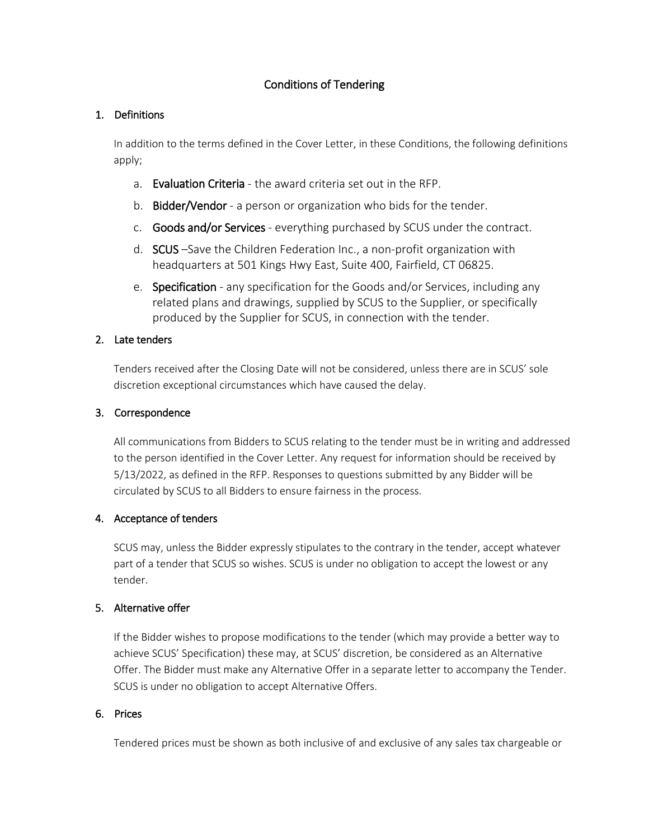# Conditions of Tendering

# 1. Definitions

In addition to the terms defined in the Cover Letter, in these Conditions, the following definitions apply;

- a. Evaluation Criteria the award criteria set out in the RFP.
- b. Bidder/Vendor a person or organization who bids for the tender.
- c. Goods and/or Services everything purchased by SCUS under the contract.
- d. SCUS –Save the Children Federation Inc., a non-profit organization with headquarters at 501 Kings Hwy East, Suite 400, Fairfield, CT 06825.
- e. Specification any specification for the Goods and/or Services, including any related plans and drawings, supplied by SCUS to the Supplier, or specifically produced by the Supplier for SCUS, in connection with the tender.

# 2. Late tenders

Tenders received after the Closing Date will not be considered, unless there are in SCUS' sole discretion exceptional circumstances which have caused the delay.

#### 3. Correspondence

All communications from Bidders to SCUS relating to the tender must be in writing and addressed to the person identified in the Cover Letter. Any request for information should be received by 5/13/2022, as defined in the RFP. Responses to questions submitted by any Bidder will be circulated by SCUS to all Bidders to ensure fairness in the process.

# 4. Acceptance of tenders

SCUS may, unless the Bidder expressly stipulates to the contrary in the tender, accept whatever part of a tender that SCUS so wishes. SCUS is under no obligation to accept the lowest or any tender.

# 5. Alternative offer

If the Bidder wishes to propose modifications to the tender (which may provide a better way to achieve SCUS' Specification) these may, at SCUS' discretion, be considered as an Alternative Offer. The Bidder must make any Alternative Offer in a separate letter to accompany the Tender. SCUS is under no obligation to accept Alternative Offers.

# 6. Prices

Tendered prices must be shown as both inclusive of and exclusive of any sales tax chargeable or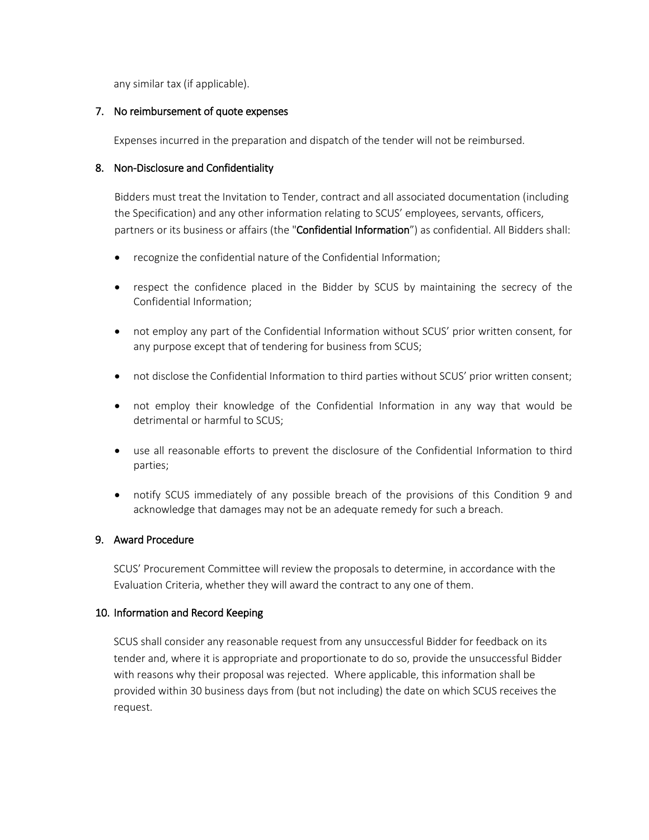any similar tax (if applicable).

#### 7. No reimbursement of quote expenses

Expenses incurred in the preparation and dispatch of the tender will not be reimbursed.

#### 8. Non-Disclosure and Confidentiality

Bidders must treat the Invitation to Tender, contract and all associated documentation (including the Specification) and any other information relating to SCUS' employees, servants, officers, partners or its business or affairs (the "Confidential Information") as confidential. All Bidders shall:

- recognize the confidential nature of the Confidential Information;
- respect the confidence placed in the Bidder by SCUS by maintaining the secrecy of the Confidential Information;
- not employ any part of the Confidential Information without SCUS' prior written consent, for any purpose except that of tendering for business from SCUS;
- not disclose the Confidential Information to third parties without SCUS' prior written consent;
- not employ their knowledge of the Confidential Information in any way that would be detrimental or harmful to SCUS;
- use all reasonable efforts to prevent the disclosure of the Confidential Information to third parties;
- notify SCUS immediately of any possible breach of the provisions of this Condition 9 and acknowledge that damages may not be an adequate remedy for such a breach.

# 9. Award Procedure

SCUS' Procurement Committee will review the proposals to determine, in accordance with the Evaluation Criteria, whether they will award the contract to any one of them.

# 10. Information and Record Keeping

SCUS shall consider any reasonable request from any unsuccessful Bidder for feedback on its tender and, where it is appropriate and proportionate to do so, provide the unsuccessful Bidder with reasons why their proposal was rejected. Where applicable, this information shall be provided within 30 business days from (but not including) the date on which SCUS receives the request.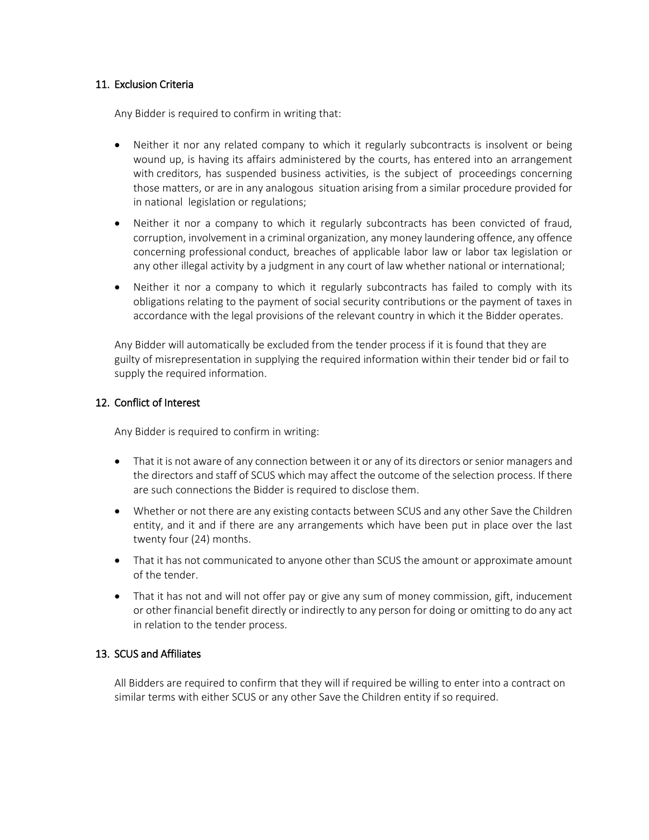#### 11. Exclusion Criteria

Any Bidder is required to confirm in writing that:

- Neither it nor any related company to which it regularly subcontracts is insolvent or being wound up, is having its affairs administered by the courts, has entered into an arrangement with creditors, has suspended business activities, is the subject of proceedings concerning those matters, or are in any analogous situation arising from a similar procedure provided for in national legislation or regulations;
- Neither it nor a company to which it regularly subcontracts has been convicted of fraud, corruption, involvement in a criminal organization, any money laundering offence, any offence concerning professional conduct, breaches of applicable labor law or labor tax legislation or any other illegal activity by a judgment in any court of law whether national or international;
- Neither it nor a company to which it regularly subcontracts has failed to comply with its obligations relating to the payment of social security contributions or the payment of taxes in accordance with the legal provisions of the relevant country in which it the Bidder operates.

Any Bidder will automatically be excluded from the tender process if it is found that they are guilty of misrepresentation in supplying the required information within their tender bid or fail to supply the required information.

#### 12. Conflict of Interest

Any Bidder is required to confirm in writing:

- That it is not aware of any connection between it or any of its directors or senior managers and the directors and staff of SCUS which may affect the outcome of the selection process. If there are such connections the Bidder is required to disclose them.
- Whether or not there are any existing contacts between SCUS and any other Save the Children entity, and it and if there are any arrangements which have been put in place over the last twenty four (24) months.
- That it has not communicated to anyone other than SCUS the amount or approximate amount of the tender.
- That it has not and will not offer pay or give any sum of money commission, gift, inducement or other financial benefit directly or indirectly to any person for doing or omitting to do any act in relation to the tender process.

#### 13. SCUS and Affiliates

All Bidders are required to confirm that they will if required be willing to enter into a contract on similar terms with either SCUS or any other Save the Children entity if so required.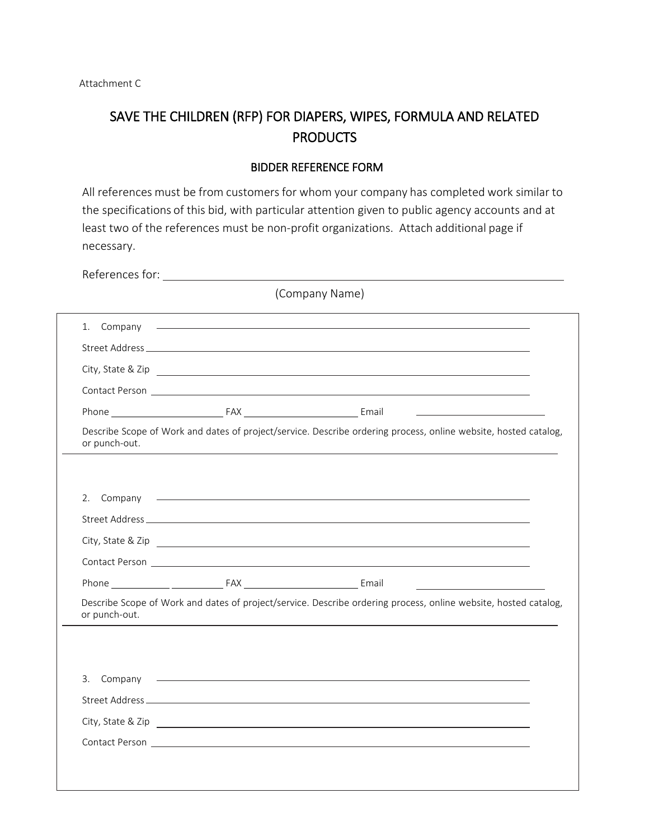# SAVE THE CHILDREN (RFP) FOR DIAPERS, WIPES, FORMULA AND RELATED PRODUCTS

#### BIDDER REFERENCE FORM

All references must be from customers for whom your company has completed work similar to the specifications of this bid, with particular attention given to public agency accounts and at least two of the references must be non-profit organizations. Attach additional page if necessary.

|               | (Company Name)                                                                                                                                                                                                                |  |
|---------------|-------------------------------------------------------------------------------------------------------------------------------------------------------------------------------------------------------------------------------|--|
| 1.<br>Company | <u> 1989 - Johann Stoff, amerikansk politiker (d. 1989)</u>                                                                                                                                                                   |  |
|               |                                                                                                                                                                                                                               |  |
|               |                                                                                                                                                                                                                               |  |
|               |                                                                                                                                                                                                                               |  |
|               |                                                                                                                                                                                                                               |  |
| or punch-out. | Describe Scope of Work and dates of project/service. Describe ordering process, online website, hosted catalog,                                                                                                               |  |
|               |                                                                                                                                                                                                                               |  |
| 2.            |                                                                                                                                                                                                                               |  |
|               |                                                                                                                                                                                                                               |  |
|               |                                                                                                                                                                                                                               |  |
|               |                                                                                                                                                                                                                               |  |
|               |                                                                                                                                                                                                                               |  |
| or punch-out. | Describe Scope of Work and dates of project/service. Describe ordering process, online website, hosted catalog,                                                                                                               |  |
|               |                                                                                                                                                                                                                               |  |
| 3.            | Company experience and the company of the company of the company of the company of the company of the company of the company of the company of the company of the company of the company of the company of the company of the |  |
|               |                                                                                                                                                                                                                               |  |
|               |                                                                                                                                                                                                                               |  |
|               |                                                                                                                                                                                                                               |  |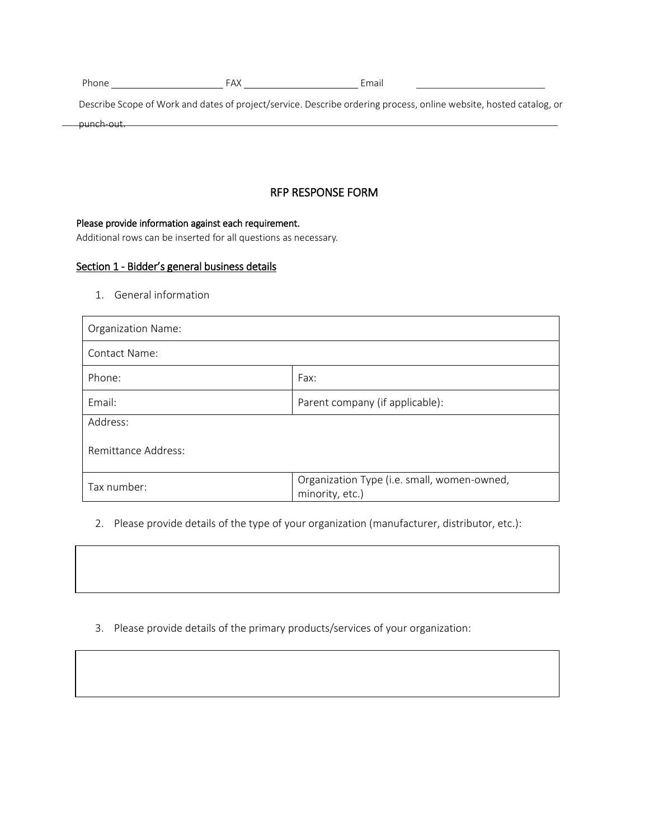| Phone | FAX | Email |
|-------|-----|-------|
|       |     |       |

Describe Scope of Work and dates of project/service. Describe ordering process, online website, hosted catalog, or punch-out.

# RFP RESPONSE FORM

Please provide information against each requirement.

Additional rows can be inserted for all questions as necessary.

#### Section 1 - Bidder's general business details

1. General information

| <b>Organization Name:</b>                 |                                                                |  |  |
|-------------------------------------------|----------------------------------------------------------------|--|--|
| Contact Name:                             |                                                                |  |  |
| Phone:                                    | Fax:                                                           |  |  |
| Email:<br>Parent company (if applicable): |                                                                |  |  |
| Address:                                  |                                                                |  |  |
| Remittance Address:                       |                                                                |  |  |
| Tax number:                               | Organization Type (i.e. small, women-owned,<br>minority, etc.) |  |  |

2. Please provide details of the type of your organization (manufacturer, distributor, etc.):

3. Please provide details of the primary products/services of your organization: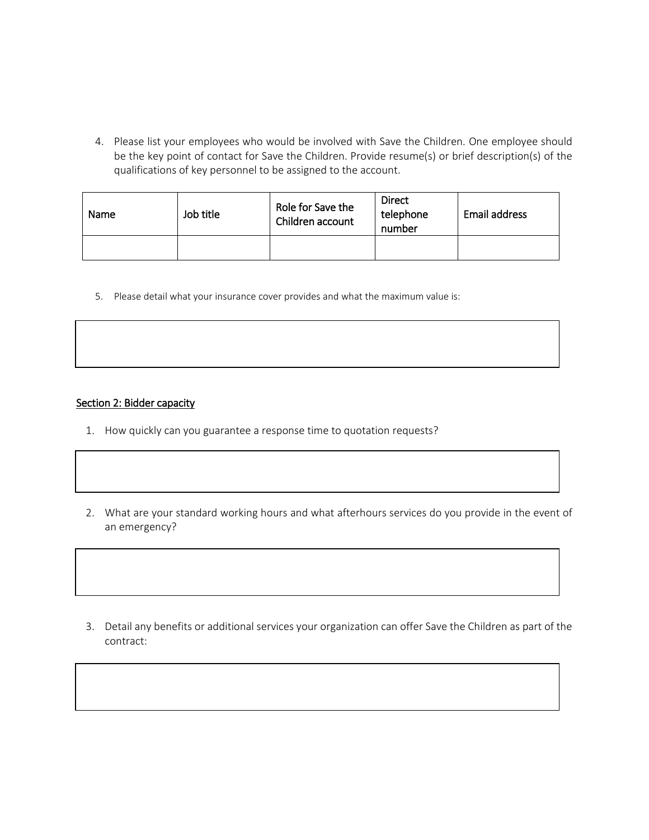4. Please list your employees who would be involved with Save the Children. One employee should be the key point of contact for Save the Children. Provide resume(s) or brief description(s) of the qualifications of key personnel to be assigned to the account.

| Name | Job title | Role for Save the<br>Children account | <b>Direct</b><br>telephone<br>number | Email address |
|------|-----------|---------------------------------------|--------------------------------------|---------------|
|      |           |                                       |                                      |               |

5. Please detail what your insurance cover provides and what the maximum value is:

#### Section 2: Bidder capacity

- 1. How quickly can you guarantee a response time to quotation requests?
- 2. What are your standard working hours and what afterhours services do you provide in the event of an emergency?

3. Detail any benefits or additional services your organization can offer Save the Children as part of the contract: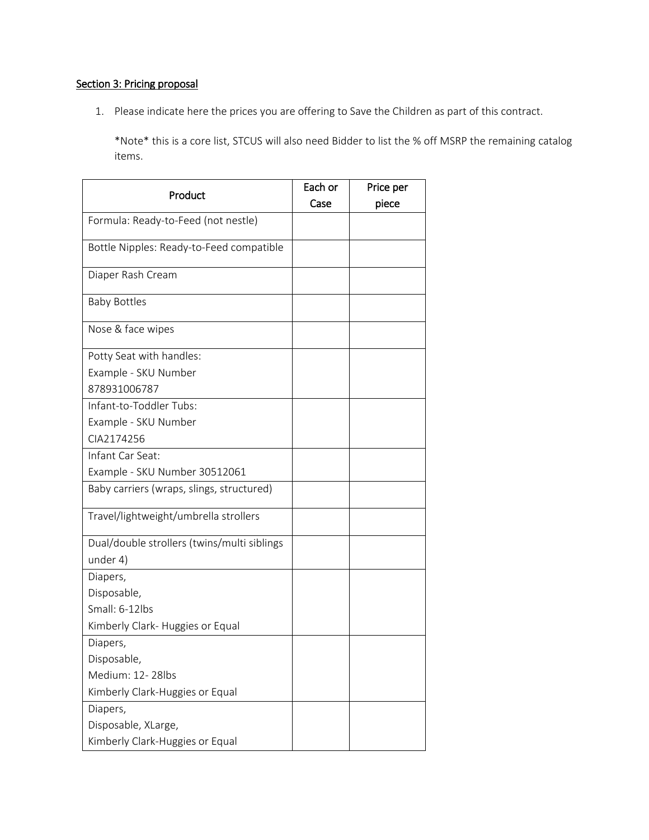# Section 3: Pricing proposal

1. Please indicate here the prices you are offering to Save the Children as part of this contract.

\*Note\* this is a core list, STCUS will also need Bidder to list the % off MSRP the remaining catalog items.

| Product                                     | Each or | Price per |
|---------------------------------------------|---------|-----------|
|                                             | Case    | piece     |
| Formula: Ready-to-Feed (not nestle)         |         |           |
| Bottle Nipples: Ready-to-Feed compatible    |         |           |
| Diaper Rash Cream                           |         |           |
| <b>Baby Bottles</b>                         |         |           |
| Nose & face wipes                           |         |           |
| Potty Seat with handles:                    |         |           |
| Example - SKU Number                        |         |           |
| 878931006787                                |         |           |
| Infant-to-Toddler Tubs:                     |         |           |
| Example - SKU Number                        |         |           |
| CIA2174256                                  |         |           |
| Infant Car Seat:                            |         |           |
| Example - SKU Number 30512061               |         |           |
| Baby carriers (wraps, slings, structured)   |         |           |
| Travel/lightweight/umbrella strollers       |         |           |
| Dual/double strollers (twins/multi siblings |         |           |
| under 4)                                    |         |           |
| Diapers,                                    |         |           |
| Disposable,                                 |         |           |
| Small: 6-12lbs                              |         |           |
| Kimberly Clark- Huggies or Equal            |         |           |
| Diapers,                                    |         |           |
| Disposable,                                 |         |           |
| Medium: 12-28lbs                            |         |           |
| Kimberly Clark-Huggies or Equal             |         |           |
| Diapers,                                    |         |           |
| Disposable, XLarge,                         |         |           |
| Kimberly Clark-Huggies or Equal             |         |           |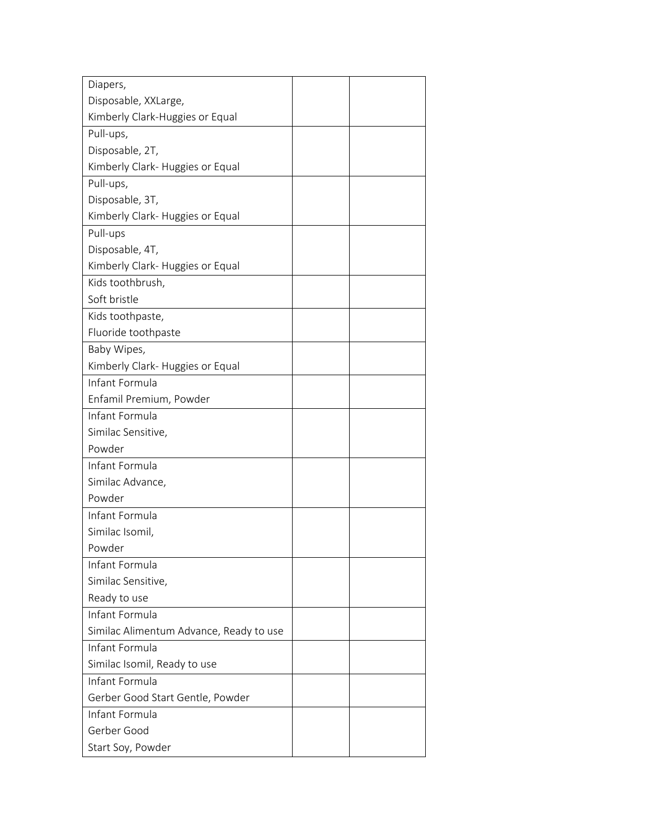| Diapers,                                |  |
|-----------------------------------------|--|
| Disposable, XXLarge,                    |  |
| Kimberly Clark-Huggies or Equal         |  |
| Pull-ups,                               |  |
| Disposable, 2T,                         |  |
| Kimberly Clark- Huggies or Equal        |  |
| Pull-ups,                               |  |
| Disposable, 3T,                         |  |
| Kimberly Clark- Huggies or Equal        |  |
| Pull-ups                                |  |
| Disposable, 4T,                         |  |
| Kimberly Clark- Huggies or Equal        |  |
| Kids toothbrush,                        |  |
| Soft bristle                            |  |
| Kids toothpaste,                        |  |
| Fluoride toothpaste                     |  |
| Baby Wipes,                             |  |
| Kimberly Clark- Huggies or Equal        |  |
| Infant Formula                          |  |
| Enfamil Premium, Powder                 |  |
| Infant Formula                          |  |
| Similac Sensitive,                      |  |
| Powder                                  |  |
| Infant Formula                          |  |
| Similac Advance,                        |  |
| Powder                                  |  |
| Infant Formula                          |  |
| Similac Isomil,                         |  |
| Powder                                  |  |
| Infant Formula                          |  |
| Similac Sensitive,                      |  |
| Ready to use                            |  |
| Infant Formula                          |  |
| Similac Alimentum Advance, Ready to use |  |
| Infant Formula                          |  |
| Similac Isomil, Ready to use            |  |
| Infant Formula                          |  |
| Gerber Good Start Gentle, Powder        |  |
| Infant Formula                          |  |
| Gerber Good                             |  |
| Start Soy, Powder                       |  |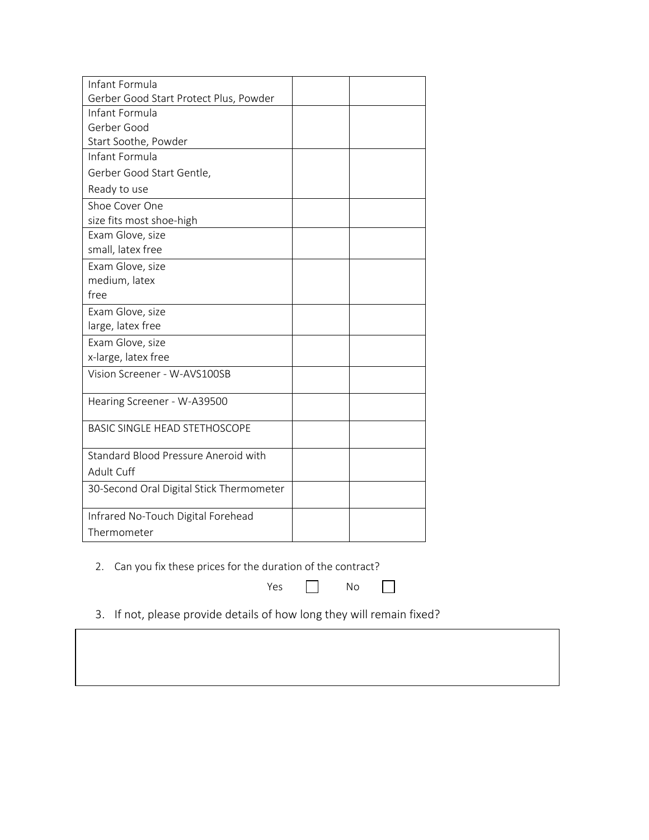| Infant Formula                           |  |
|------------------------------------------|--|
| Gerber Good Start Protect Plus, Powder   |  |
| Infant Formula                           |  |
| Gerber Good                              |  |
| Start Soothe, Powder                     |  |
| Infant Formula                           |  |
| Gerber Good Start Gentle,                |  |
| Ready to use                             |  |
| Shoe Cover One                           |  |
| size fits most shoe-high                 |  |
| Exam Glove, size                         |  |
| small, latex free                        |  |
| Exam Glove, size                         |  |
| medium, latex                            |  |
| free                                     |  |
| Exam Glove, size                         |  |
| large, latex free                        |  |
| Exam Glove, size                         |  |
| x-large, latex free                      |  |
| Vision Screener - W-AVS100SB             |  |
| Hearing Screener - W-A39500              |  |
| <b>BASIC SINGLE HEAD STETHOSCOPE</b>     |  |
| Standard Blood Pressure Aneroid with     |  |
| Adult Cuff                               |  |
| 30-Second Oral Digital Stick Thermometer |  |
| Infrared No-Touch Digital Forehead       |  |
| Thermometer                              |  |

2. Can you fix these prices for the duration of the contract?

Yes No

 $\Box$ 

3. If not, please provide details of how long they will remain fixed?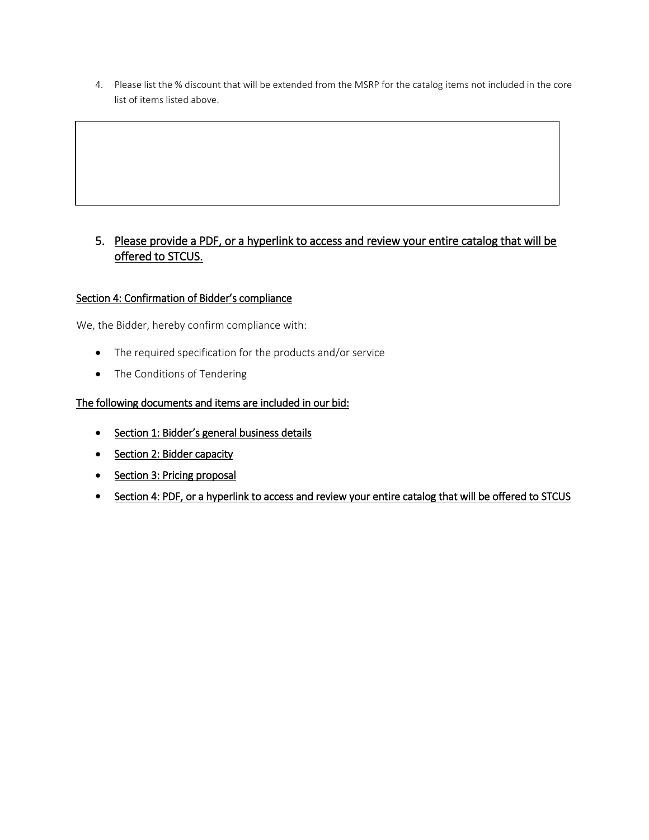4. Please list the % discount that will be extended from the MSRP for the catalog items not included in the core list of items listed above.

# 5. Please provide a PDF, or a hyperlink to access and review your entire catalog that will be offered to STCUS.

# Section 4: Confirmation of Bidder's compliance

We, the Bidder, hereby confirm compliance with:

- The required specification for the products and/or service
- The Conditions of Tendering

# The following documents and items are included in our bid:

- Section 1: Bidder's general business details
- Section 2: Bidder capacity
- Section 3: Pricing proposal
- Section 4: PDF, or a hyperlink to access and review your entire catalog that will be offered to STCUS